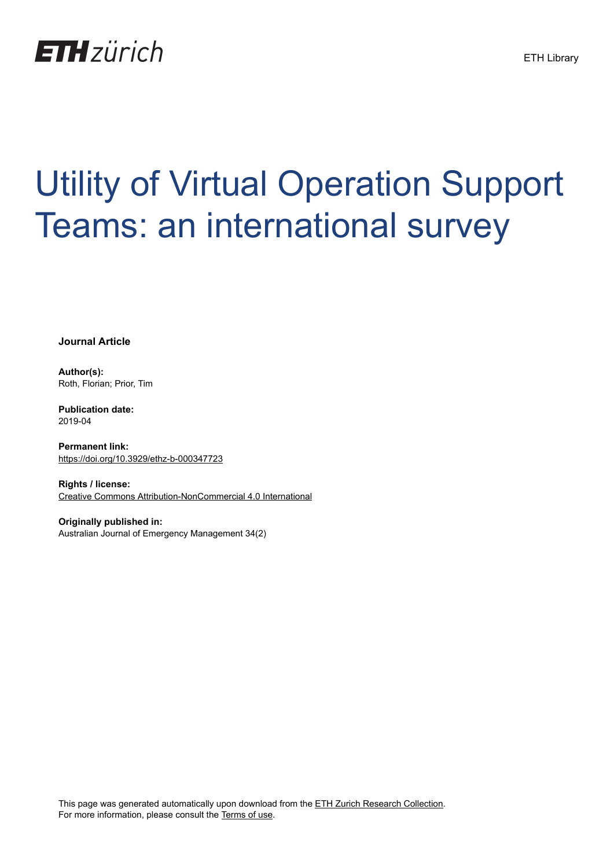

# Utility of Virtual Operation Support Teams: an international survey

**Journal Article**

**Author(s):** Roth, Florian; Prior, Tim

**Publication date:** 2019-04

**Permanent link:** <https://doi.org/10.3929/ethz-b-000347723>

**Rights / license:** [Creative Commons Attribution-NonCommercial 4.0 International](http://creativecommons.org/licenses/by-nc/4.0/)

**Originally published in:** Australian Journal of Emergency Management 34(2)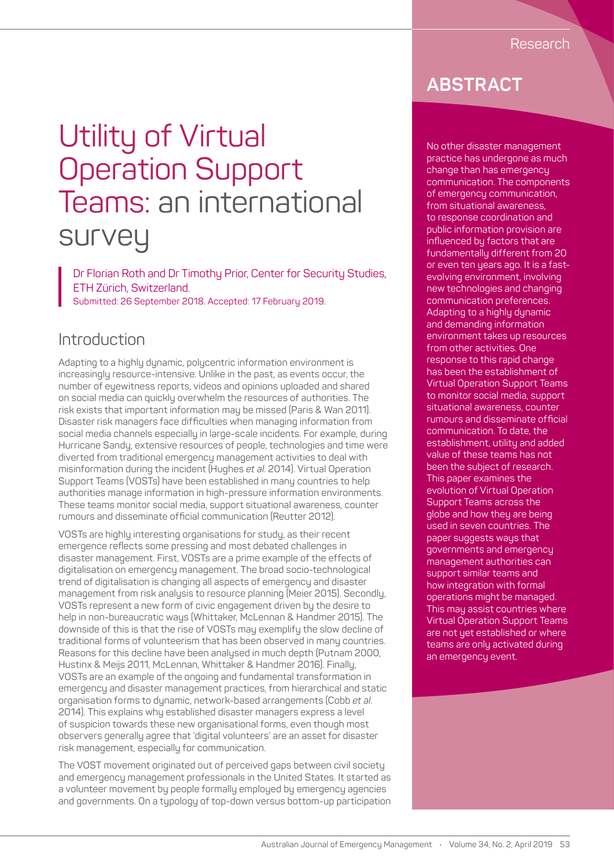## Utility of Virtual Operation Support Teams: an international survey

Dr Florian Roth and Dr Timothy Prior, Center for Security Studies, ETH Zürich, Switzerland. Submitted: 26 September 2018. Accepted: 17 February 2019.

### **Introduction**

Adapting to a highly dynamic, polycentric information environment is increasingly resource-intensive. Unlike in the past, as events occur, the number of eyewitness reports, videos and opinions uploaded and shared on social media can quickly overwhelm the resources of authorities. The risk exists that important information may be missed (Paris & Wan 2011). Disaster risk managers face difficulties when managing information from social media channels especially in large-scale incidents. For example, during Hurricane Sandy, extensive resources of people, technologies and time were diverted from traditional emergency management activities to deal with misinformation during the incident (Hughes *et al*. 2014). Virtual Operation Support Teams (VOSTs) have been established in many countries to help authorities manage information in high-pressure information environments. These teams monitor social media, support situational awareness, counter rumours and disseminate official communication (Reutter 2012).

VOSTs are highly interesting organisations for study, as their recent emergence reflects some pressing and most debated challenges in disaster management. First, VOSTs are a prime example of the effects of digitalisation on emergency management. The broad socio-technological trend of digitalisation is changing all aspects of emergency and disaster management from risk analysis to resource planning (Meier 2015). Secondly, VOSTs represent a new form of civic engagement driven by the desire to help in non-bureaucratic ways (Whittaker, McLennan & Handmer 2015). The downside of this is that the rise of VOSTs may exemplify the slow decline of traditional forms of volunteerism that has been observed in many countries. Reasons for this decline have been analysed in much depth (Putnam 2000, Hustinx & Meijs 2011, McLennan, Whittaker & Handmer 2016). Finally, VOSTs are an example of the ongoing and fundamental transformation in emergency and disaster management practices, from hierarchical and static organisation forms to dynamic, network-based arrangements (Cobb *et al*. 2014). This explains why established disaster managers express a level of suspicion towards these new organisational forms, even though most observers generally agree that 'digital volunteers' are an asset for disaster risk management, especially for communication.

The VOST movement originated out of perceived gaps between civil society and emergency management professionals in the United States. It started as a volunteer movement by people formally employed by emergency agencies and governments. On a typology of top-down versus bottom-up participation

## **ABSTRACT**

No other disaster management practice has undergone as much change than has emergency communication. The components of emergency communication, from situational awareness, to response coordination and public information provision are influenced by factors that are fundamentally different from 20 or even ten years ago. It is a fastevolving environment, involving new technologies and changing communication preferences. Adapting to a highly dynamic and demanding information environment takes up resources from other activities. One response to this rapid change has been the establishment of Virtual Operation Support Teams to monitor social media, support situational awareness, counter rumours and disseminate official communication. To date, the establishment, utility and added value of these teams has not been the subject of research. This paper examines the evolution of Virtual Operation Support Teams across the globe and how they are being used in seven countries. The paper suggests ways that governments and emergency management authorities can support similar teams and how integration with formal operations might be managed. This may assist countries where Virtual Operation Support Teams are not yet established or where teams are only activated during an emergency event.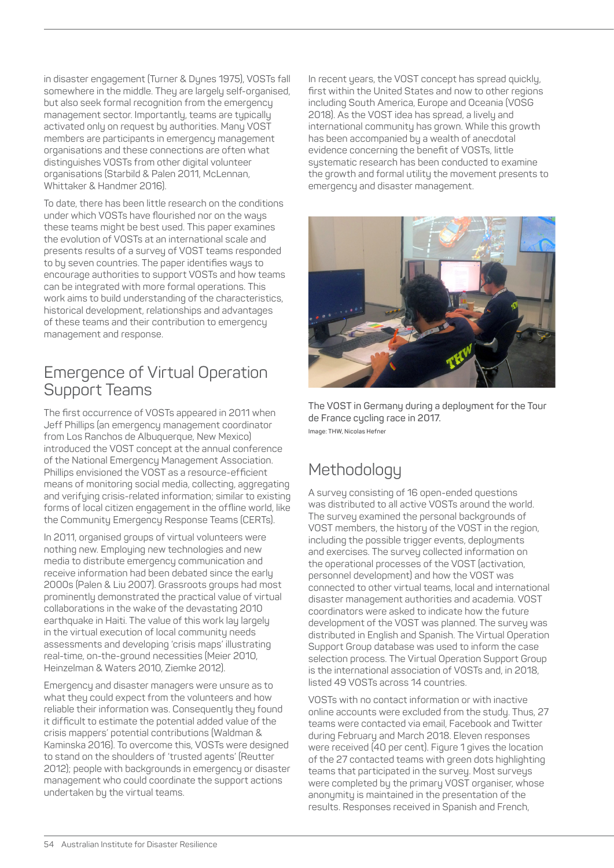in disaster engagement (Turner & Dynes 1975), VOSTs fall somewhere in the middle. They are largely self-organised, but also seek formal recognition from the emergency management sector. Importantly, teams are typically activated only on request by authorities. Many VOST members are participants in emergency management organisations and these connections are often what distinguishes VOSTs from other digital volunteer organisations (Starbild & Palen 2011, McLennan, Whittaker & Handmer 2016).

To date, there has been little research on the conditions under which VOSTs have flourished nor on the ways these teams might be best used. This paper examines the evolution of VOSTs at an international scale and presents results of a survey of VOST teams responded to by seven countries. The paper identifies ways to encourage authorities to support VOSTs and how teams can be integrated with more formal operations. This work aims to build understanding of the characteristics, historical development, relationships and advantages of these teams and their contribution to emergency management and response.

## Emergence of Virtual Operation Support Teams

The first occurrence of VOSTs appeared in 2011 when Jeff Phillips (an emergency management coordinator from Los Ranchos de Albuquerque, New Mexico) introduced the VOST concept at the annual conference of the National Emergency Management Association. Phillips envisioned the VOST as a resource-efficient means of monitoring social media, collecting, aggregating and verifying crisis-related information; similar to existing forms of local citizen engagement in the offline world, like the Community Emergency Response Teams (CERTs).

In 2011, organised groups of virtual volunteers were nothing new. Employing new technologies and new media to distribute emergency communication and receive information had been debated since the early 2000s (Palen & Liu 2007). Grassroots groups had most prominently demonstrated the practical value of virtual collaborations in the wake of the devastating 2010 earthquake in Haiti. The value of this work lay largely in the virtual execution of local community needs assessments and developing 'crisis maps' illustrating real-time, on-the-ground necessities (Meier 2010, Heinzelman & Waters 2010, Ziemke 2012).

Emergency and disaster managers were unsure as to what they could expect from the volunteers and how reliable their information was. Consequently they found it difficult to estimate the potential added value of the crisis mappers' potential contributions (Waldman & Kaminska 2016). To overcome this, VOSTs were designed to stand on the shoulders of 'trusted agents' (Reutter 2012); people with backgrounds in emergency or disaster management who could coordinate the support actions undertaken by the virtual teams.

In recent years, the VOST concept has spread quickly, first within the United States and now to other regions including South America, Europe and Oceania (VOSG 2018). As the VOST idea has spread, a lively and international community has grown. While this growth has been accompanied by a wealth of anecdotal evidence concerning the benefit of VOSTs, little systematic research has been conducted to examine the growth and formal utility the movement presents to emergency and disaster management.



**The VOST in Germany during a deployment for the Tour de France cycling race in 2017. Image: THW, Nicolas Hefner**

## **Methodology**

A survey consisting of 16 open-ended questions was distributed to all active VOSTs around the world. The survey examined the personal backgrounds of VOST members, the history of the VOST in the region, including the possible trigger events, deployments and exercises. The survey collected information on the operational processes of the VOST (activation, personnel development) and how the VOST was connected to other virtual teams, local and international disaster management authorities and academia. VOST coordinators were asked to indicate how the future development of the VOST was planned. The survey was distributed in English and Spanish. The Virtual Operation Support Group database was used to inform the case selection process. The Virtual Operation Support Group is the international association of VOSTs and, in 2018, listed 49 VOSTs across 14 countries.

VOSTs with no contact information or with inactive online accounts were excluded from the study. Thus, 27 teams were contacted via email, Facebook and Twitter during February and March 2018. Eleven responses were received (40 per cent). Figure 1 gives the location of the 27 contacted teams with green dots highlighting teams that participated in the survey. Most surveys were completed by the primary VOST organiser, whose anonymity is maintained in the presentation of the results. Responses received in Spanish and French,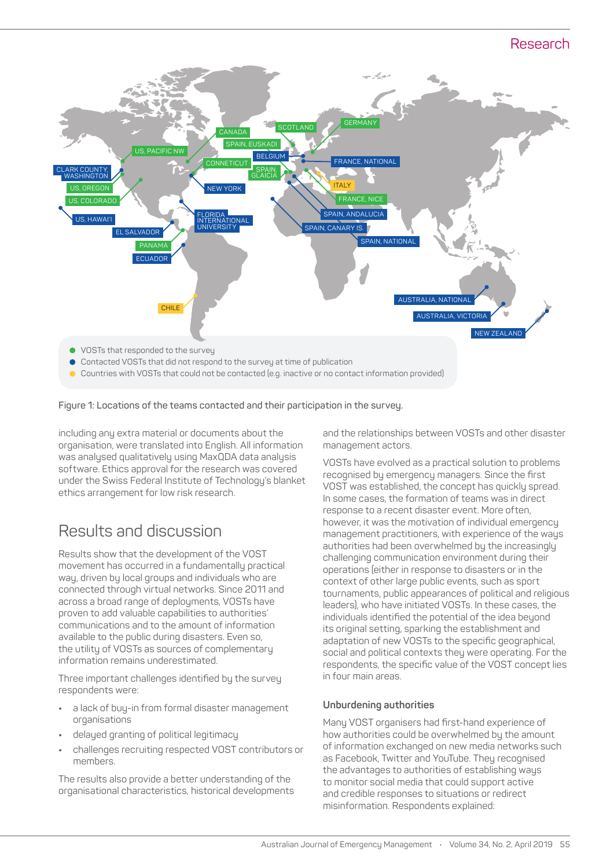#### Research



Countries with VOSTs that could not be contacted (e.g. inactive or no contact information provided)

#### **Figure 1: Locations of the teams contacted and their participation in the survey.**

including any extra material or documents about the organisation, were translated into English. All information was analysed qualitatively using MaxQDA data analysis software. Ethics approval for the research was covered under the Swiss Federal Institute of Technology's blanket ethics arrangement for low risk research.

## Results and discussion

Results show that the development of the VOST movement has occurred in a fundamentally practical way, driven by local groups and individuals who are connected through virtual networks. Since 2011 and across a broad range of deployments, VOSTs have proven to add valuable capabilities to authorities' communications and to the amount of information available to the public during disasters. Even so, the utility of VOSTs as sources of complementary information remains underestimated.

Three important challenges identified by the survey respondents were:

- **•** a lack of buy-in from formal disaster management organisations
- **•** delayed granting of political legitimacy
- **•** challenges recruiting respected VOST contributors or members.

The results also provide a better understanding of the organisational characteristics, historical developments and the relationships between VOSTs and other disaster management actors.

VOSTs have evolved as a practical solution to problems recognised by emergency managers. Since the first VOST was established, the concept has quickly spread. In some cases, the formation of teams was in direct response to a recent disaster event. More often, however, it was the motivation of individual emergency management practitioners, with experience of the ways authorities had been overwhelmed by the increasingly challenging communication environment during their operations (either in response to disasters or in the context of other large public events, such as sport tournaments, public appearances of political and religious leaders), who have initiated VOSTs. In these cases, the individuals identified the potential of the idea beyond its original setting, sparking the establishment and adaptation of new VOSTs to the specific geographical, social and political contexts they were operating. For the respondents, the specific value of the VOST concept lies in four main areas.

#### **Unburdening authorities**

Many VOST organisers had first-hand experience of how authorities could be overwhelmed by the amount of information exchanged on new media networks such as Facebook, Twitter and YouTube. They recognised the advantages to authorities of establishing ways to monitor social media that could support active and credible responses to situations or redirect misinformation. Respondents explained: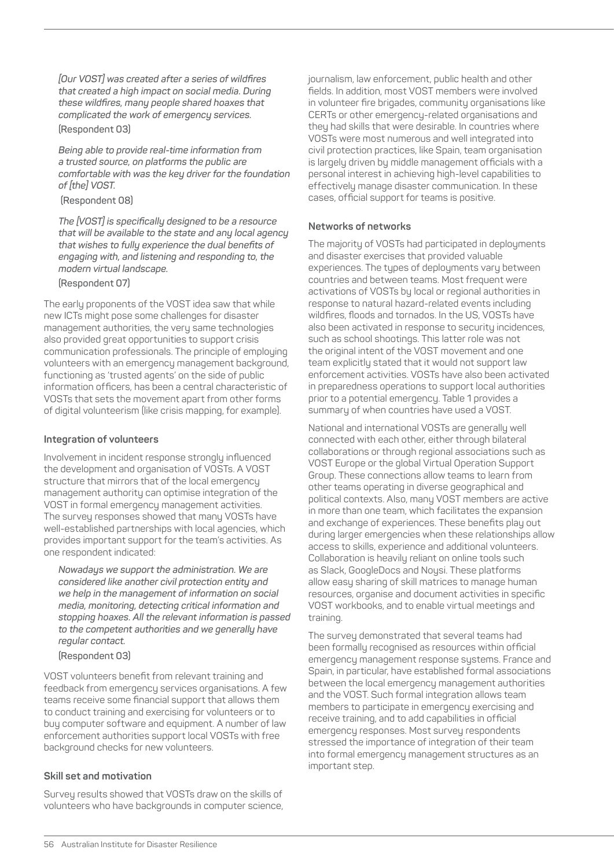*[Our VOST] was created after a series of wildfires that created a high impact on social media. During these wildfires, many people shared hoaxes that complicated the work of emergency services.*  **(Respondent 03)**

*Being able to provide real-time information from a trusted source, on platforms the public are comfortable with was the key driver for the foundation of [the] VOST.*

 **(Respondent 08)**

*The [VOST] is specifically designed to be a resource that will be available to the state and any local agency that wishes to fully experience the dual benefits of engaging with, and listening and responding to, the modern virtual landscape.*

**(Respondent 07)**

The early proponents of the VOST idea saw that while new ICTs might pose some challenges for disaster management authorities, the very same technologies also provided great opportunities to support crisis communication professionals. The principle of employing volunteers with an emergency management background, functioning as 'trusted agents' on the side of public information officers, has been a central characteristic of VOSTs that sets the movement apart from other forms of digital volunteerism (like crisis mapping, for example).

#### **Integration of volunteers**

Involvement in incident response strongly influenced the development and organisation of VOSTs. A VOST structure that mirrors that of the local emergency management authority can optimise integration of the VOST in formal emergency management activities. The survey responses showed that many VOSTs have well-established partnerships with local agencies, which provides important support for the team's activities. As one respondent indicated:

*Nowadays we support the administration. We are considered like another civil protection entity and we help in the management of information on social media, monitoring, detecting critical information and stopping hoaxes. All the relevant information is passed to the competent authorities and we generally have regular contact.*

**(Respondent 03)** 

VOST volunteers benefit from relevant training and feedback from emergency services organisations. A few teams receive some financial support that allows them to conduct training and exercising for volunteers or to buy computer software and equipment. A number of law enforcement authorities support local VOSTs with free background checks for new volunteers.

#### **Skill set and motivation**

Survey results showed that VOSTs draw on the skills of volunteers who have backgrounds in computer science, journalism, law enforcement, public health and other fields. In addition, most VOST members were involved in volunteer fire brigades, community organisations like CERTs or other emergency-related organisations and they had skills that were desirable. In countries where VOSTs were most numerous and well integrated into civil protection practices, like Spain, team organisation is largely driven by middle management officials with a personal interest in achieving high-level capabilities to effectively manage disaster communication. In these cases, official support for teams is positive.

#### **Networks of networks**

The majority of VOSTs had participated in deployments and disaster exercises that provided valuable experiences. The types of deployments vary between countries and between teams. Most frequent were activations of VOSTs by local or regional authorities in response to natural hazard-related events including wildfires, floods and tornados. In the US, VOSTs have also been activated in response to security incidences, such as school shootings. This latter role was not the original intent of the VOST movement and one team explicitly stated that it would not support law enforcement activities. VOSTs have also been activated in preparedness operations to support local authorities prior to a potential emergency. Table 1 provides a summary of when countries have used a VOST.

National and international VOSTs are generally well connected with each other, either through bilateral collaborations or through regional associations such as VOST Europe or the global Virtual Operation Support Group. These connections allow teams to learn from other teams operating in diverse geographical and political contexts. Also, many VOST members are active in more than one team, which facilitates the expansion and exchange of experiences. These benefits play out during larger emergencies when these relationships allow access to skills, experience and additional volunteers. Collaboration is heavily reliant on online tools such as Slack, GoogleDocs and Nousi. These platforms allow easy sharing of skill matrices to manage human resources, organise and document activities in specific VOST workbooks, and to enable virtual meetings and training.

The survey demonstrated that several teams had been formally recognised as resources within official emergency management response systems. France and Spain, in particular, have established formal associations between the local emergency management authorities and the VOST. Such formal integration allows team members to participate in emergency exercising and receive training, and to add capabilities in official emergency responses. Most survey respondents stressed the importance of integration of their team into formal emergency management structures as an important step.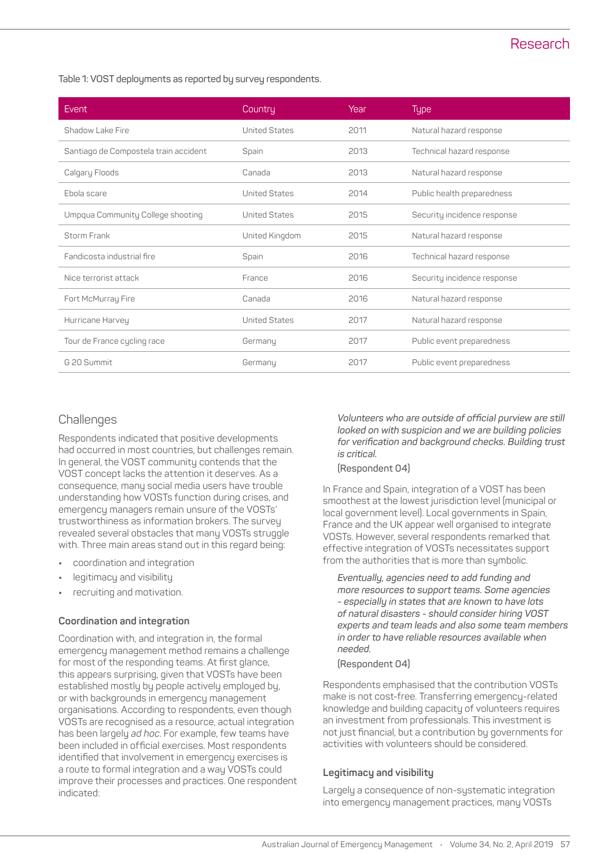**Table 1: VOST deployments as reported by survey respondents.**

| Event                                 | Country              | Year | <b>Type</b>                 |
|---------------------------------------|----------------------|------|-----------------------------|
| Shadow Lake Fire                      | <b>United States</b> | 2011 | Natural hazard response     |
| Santiago de Compostela train accident | Spain                | 2013 | Technical hazard response   |
| Calgary Floods                        | Canada               | 2013 | Natural hazard response     |
| Ebola scare                           | <b>United States</b> | 2014 | Public health preparedness  |
| Umpqua Community College shooting     | <b>United States</b> | 2015 | Security incidence response |
| Storm Frank                           | United Kingdom       | 2015 | Natural hazard response     |
| Fandicosta industrial fire            | Spain                | 2016 | Technical hazard response   |
| Nice terrorist attack                 | France               | 2016 | Security incidence response |
| Fort McMurray Fire                    | Canada               | 2016 | Natural hazard response     |
| Hurricane Harvey                      | <b>United States</b> | 2017 | Natural hazard response     |
| Tour de France cycling race           | Germany              | 2017 | Public event preparedness   |
| G 20 Summit                           | Germany              | 2017 | Public event preparedness   |

#### **Challenges**

Respondents indicated that positive developments had occurred in most countries, but challenges remain. In general, the VOST community contends that the VOST concept lacks the attention it deserves. As a consequence, many social media users have trouble understanding how VOSTs function during crises, and emergency managers remain unsure of the VOSTs' trustworthiness as information brokers. The survey revealed several obstacles that many VOSTs struggle with. Three main areas stand out in this regard being:

- **•** coordination and integration
- **•** legitimacy and visibility
- **•** recruiting and motivation.

#### **Coordination and integration**

Coordination with, and integration in, the formal emergency management method remains a challenge for most of the responding teams. At first glance, this appears surprising, given that VOSTs have been established mostly by people actively employed by, or with backgrounds in emergency management organisations. According to respondents, even though VOSTs are recognised as a resource, actual integration has been largely *ad hoc*. For example, few teams have been included in official exercises. Most respondents identified that involvement in emergency exercises is a route to formal integration and a way VOSTs could improve their processes and practices. One respondent indicated:

*Volunteers who are outside of official purview are still looked on with suspicion and we are building policies for verification and background checks. Building trust is critical.*

#### **(Respondent 04)**

In France and Spain, integration of a VOST has been smoothest at the lowest jurisdiction level (municipal or local government level). Local governments in Spain, France and the UK appear well organised to integrate VOSTs. However, several respondents remarked that effective integration of VOSTs necessitates support from the authorities that is more than symbolic.

*Eventually, agencies need to add funding and more resources to support teams. Some agencies - especially in states that are known to have lots of natural disasters - should consider hiring VOST experts and team leads and also some team members in order to have reliable resources available when needed.*

#### **(Respondent 04)**

Respondents emphasised that the contribution VOSTs make is not cost-free. Transferring emergency-related knowledge and building capacity of volunteers requires an investment from professionals. This investment is not just financial, but a contribution by governments for activities with volunteers should be considered.

#### **Legitimacy and visibility**

Largely a consequence of non-systematic integration into emergency management practices, many VOSTs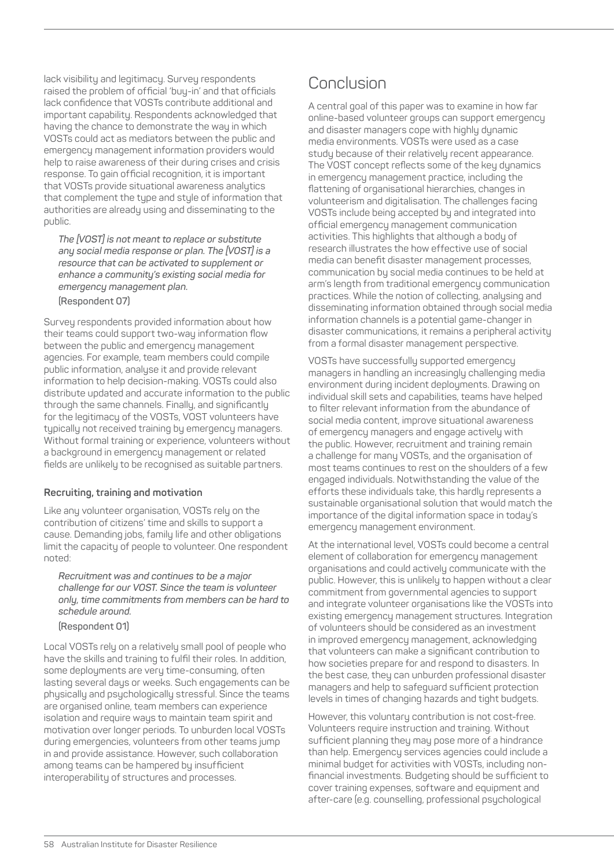lack visibility and legitimacy. Survey respondents raised the problem of official 'buy-in' and that officials lack confidence that VOSTs contribute additional and important capability. Respondents acknowledged that having the chance to demonstrate the way in which VOSTs could act as mediators between the public and emergency management information providers would help to raise awareness of their during crises and crisis response. To gain official recognition, it is important that VOSTs provide situational awareness analytics that complement the type and style of information that authorities are already using and disseminating to the public.

*The [VOST] is not meant to replace or substitute any social media response or plan. The [VOST] is a resource that can be activated to supplement or enhance a community's existing social media for emergency management plan.*

**(Respondent 07)**

Survey respondents provided information about how their teams could support two-way information flow between the public and emergency management agencies. For example, team members could compile public information, analyse it and provide relevant information to help decision-making. VOSTs could also distribute updated and accurate information to the public through the same channels. Finally, and significantly for the legitimacy of the VOSTs, VOST volunteers have typically not received training by emergency managers. Without formal training or experience, volunteers without a background in emergency management or related fields are unlikely to be recognised as suitable partners.

#### **Recruiting, training and motivation**

Like any volunteer organisation, VOSTs rely on the contribution of citizens' time and skills to support a cause. Demanding jobs, family life and other obligations limit the capacity of people to volunteer. One respondent noted:

*Recruitment was and continues to be a major challenge for our VOST. Since the team is volunteer only, time commitments from members can be hard to schedule around.*

**(Respondent 01)**

Local VOSTs rely on a relatively small pool of people who have the skills and training to fulfil their roles. In addition, some deployments are very time-consuming, often lasting several days or weeks. Such engagements can be physically and psychologically stressful. Since the teams are organised online, team members can experience isolation and require ways to maintain team spirit and motivation over longer periods. To unburden local VOSTs during emergencies, volunteers from other teams jump in and provide assistance. However, such collaboration among teams can be hampered by insufficient interoperability of structures and processes.

## **Conclusion**

A central goal of this paper was to examine in how far online-based volunteer groups can support emergency and disaster managers cope with highly dynamic media environments. VOSTs were used as a case study because of their relatively recent appearance. The VOST concept reflects some of the key dynamics in emergency management practice, including the flattening of organisational hierarchies, changes in volunteerism and digitalisation. The challenges facing VOSTs include being accepted by and integrated into official emergency management communication activities. This highlights that although a body of research illustrates the how effective use of social media can benefit disaster management processes, communication by social media continues to be held at arm's length from traditional emergency communication practices. While the notion of collecting, analysing and disseminating information obtained through social media information channels is a potential game-changer in disaster communications, it remains a peripheral activity from a formal disaster management perspective.

VOSTs have successfully supported emergency managers in handling an increasingly challenging media environment during incident deployments. Drawing on individual skill sets and capabilities, teams have helped to filter relevant information from the abundance of social media content, improve situational awareness of emergency managers and engage actively with the public. However, recruitment and training remain a challenge for many VOSTs, and the organisation of most teams continues to rest on the shoulders of a few engaged individuals. Notwithstanding the value of the efforts these individuals take, this hardly represents a sustainable organisational solution that would match the importance of the digital information space in today's emergency management environment.

At the international level, VOSTs could become a central element of collaboration for emergency management organisations and could actively communicate with the public. However, this is unlikely to happen without a clear commitment from governmental agencies to support and integrate volunteer organisations like the VOSTs into existing emergency management structures. Integration of volunteers should be considered as an investment in improved emergency management, acknowledging that volunteers can make a significant contribution to how societies prepare for and respond to disasters. In the best case, they can unburden professional disaster managers and help to safeguard sufficient protection levels in times of changing hazards and tight budgets.

However, this voluntary contribution is not cost-free. Volunteers require instruction and training. Without sufficient planning they may pose more of a hindrance than help. Emergency services agencies could include a minimal budget for activities with VOSTs, including nonfinancial investments. Budgeting should be sufficient to cover training expenses, software and equipment and after-care (e.g. counselling, professional psychological